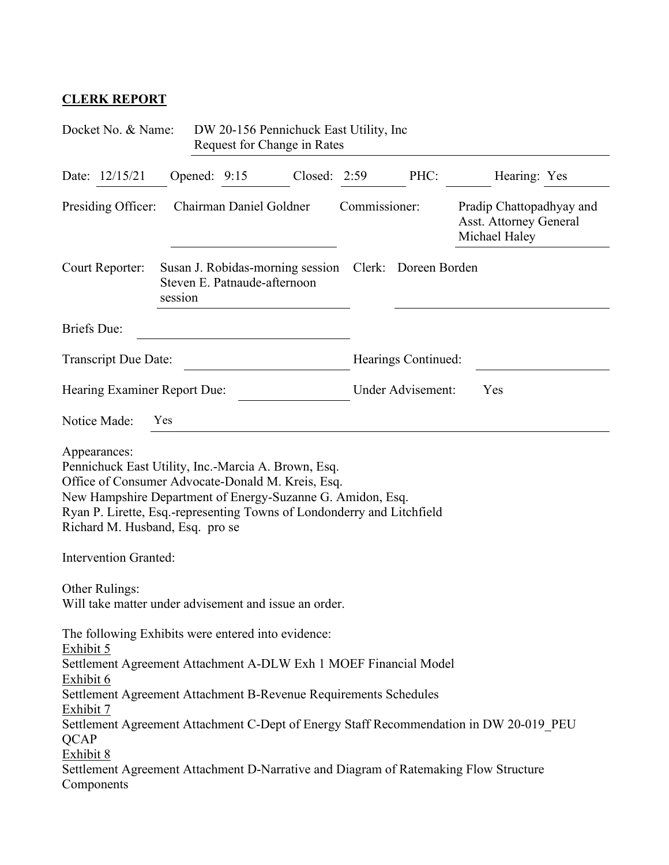## **CLERK REPORT**

| Docket No. & Name:<br>DW 20-156 Pennichuck East Utility, Inc.<br>Request for Change in Rates                                                                                                                                                                                                                                                                        |                                                                             |  |               |                          |                                                                            |                                                                                        |  |
|---------------------------------------------------------------------------------------------------------------------------------------------------------------------------------------------------------------------------------------------------------------------------------------------------------------------------------------------------------------------|-----------------------------------------------------------------------------|--|---------------|--------------------------|----------------------------------------------------------------------------|----------------------------------------------------------------------------------------|--|
| Date: 12/15/21                                                                                                                                                                                                                                                                                                                                                      | Opened: 9:15                                                                |  | Closed:       | 2:59                     | PHC:                                                                       | Hearing: Yes                                                                           |  |
| Chairman Daniel Goldner<br>Presiding Officer:                                                                                                                                                                                                                                                                                                                       |                                                                             |  | Commissioner: |                          | Pradip Chattopadhyay and<br><b>Asst. Attorney General</b><br>Michael Haley |                                                                                        |  |
| Court Reporter:                                                                                                                                                                                                                                                                                                                                                     | Susan J. Robidas-morning session<br>Steven E. Patnaude-afternoon<br>session |  |               |                          | Clerk: Doreen Borden                                                       |                                                                                        |  |
| <b>Briefs</b> Due:                                                                                                                                                                                                                                                                                                                                                  |                                                                             |  |               |                          |                                                                            |                                                                                        |  |
| Transcript Due Date:                                                                                                                                                                                                                                                                                                                                                |                                                                             |  |               |                          | Hearings Continued:                                                        |                                                                                        |  |
| Hearing Examiner Report Due:                                                                                                                                                                                                                                                                                                                                        |                                                                             |  |               | Under Advisement:<br>Yes |                                                                            |                                                                                        |  |
| Notice Made:                                                                                                                                                                                                                                                                                                                                                        | Yes                                                                         |  |               |                          |                                                                            |                                                                                        |  |
| Appearances:<br>Pennichuck East Utility, Inc.-Marcia A. Brown, Esq.<br>Office of Consumer Advocate-Donald M. Kreis, Esq.<br>New Hampshire Department of Energy-Suzanne G. Amidon, Esq.<br>Ryan P. Lirette, Esq.-representing Towns of Londonderry and Litchfield<br>Richard M. Husband, Esq. pro se<br><b>Intervention Granted:</b>                                 |                                                                             |  |               |                          |                                                                            |                                                                                        |  |
| Other Rulings:<br>Will take matter under advisement and issue an order.                                                                                                                                                                                                                                                                                             |                                                                             |  |               |                          |                                                                            |                                                                                        |  |
| The following Exhibits were entered into evidence:<br>Exhibit 5<br>Settlement Agreement Attachment A-DLW Exh 1 MOEF Financial Model<br>Exhibit 6<br>Settlement Agreement Attachment B-Revenue Requirements Schedules<br>Exhibit 7<br><b>QCAP</b><br>Exhibit 8<br>Settlement Agreement Attachment D-Narrative and Diagram of Ratemaking Flow Structure<br>Components |                                                                             |  |               |                          |                                                                            | Settlement Agreement Attachment C-Dept of Energy Staff Recommendation in DW 20-019 PEU |  |